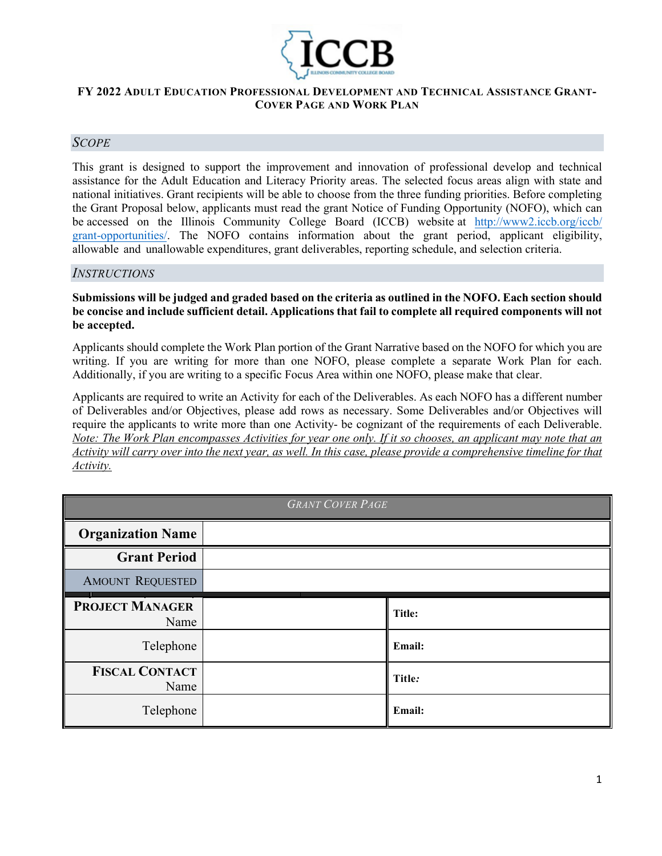

### **FY 2022 ADULT EDUCATION PROFESSIONAL DEVELOPMENT AND TECHNICAL ASSISTANCE GRANT-COVER PAGE AND WORK PLAN**

## *SCOPE*

This grant is designed to support the improvement and innovation of professional develop and technical assistance for the Adult Education and Literacy Priority areas. The selected focus areas align with state and national initiatives. Grant recipients will be able to choose from the three funding priorities. Before completing the Grant Proposal below, applicants must read the grant Notice of Funding Opportunity (NOFO), which can be accessed on the Illinois Community College Board (ICCB) website at http://www2[.iccb.org/iccb/](http://www2.iccb.org/iccb/grant-opportunities/) [grant-opportunities/.](http://www2.iccb.org/iccb/grant-opportunities/) The NOFO contains information about the grant period, applicant eligibility, allowable and unallowable expenditures, grant deliverables, reporting schedule, and selection criteria.

#### *INSTRUCTIONS*

#### **Submissions will be judged and graded based on the criteria as outlined in the NOFO. Each section should be concise and include sufficient detail. Applications that fail to complete all required components will not be accepted.**

Applicants should complete the Work Plan portion of the Grant Narrative based on the NOFO for which you are writing. If you are writing for more than one NOFO, please complete a separate Work Plan for each. Additionally, if you are writing to a specific Focus Area within one NOFO, please make that clear.

Applicants are required to write an Activity for each of the Deliverables. As each NOFO has a different number of Deliverables and/or Objectives, please add rows as necessary. Some Deliverables and/or Objectives will require the applicants to write more than one Activity- be cognizant of the requirements of each Deliverable. *Note: The Work Plan encompasses Activities for year one only. If it so chooses, an applicant may note that an Activity will carry over into the next year, as well. In this case, please provide a comprehensive timeline for that Activity.* 

| <b>GRANT COVER PAGE</b>        |  |        |  |
|--------------------------------|--|--------|--|
| <b>Organization Name</b>       |  |        |  |
| <b>Grant Period</b>            |  |        |  |
| <b>AMOUNT REQUESTED</b>        |  |        |  |
| <b>PROJECT MANAGER</b><br>Name |  | Title: |  |
| Telephone                      |  | Email: |  |
| <b>FISCAL CONTACT</b><br>Name  |  | Title: |  |
| Telephone                      |  | Email: |  |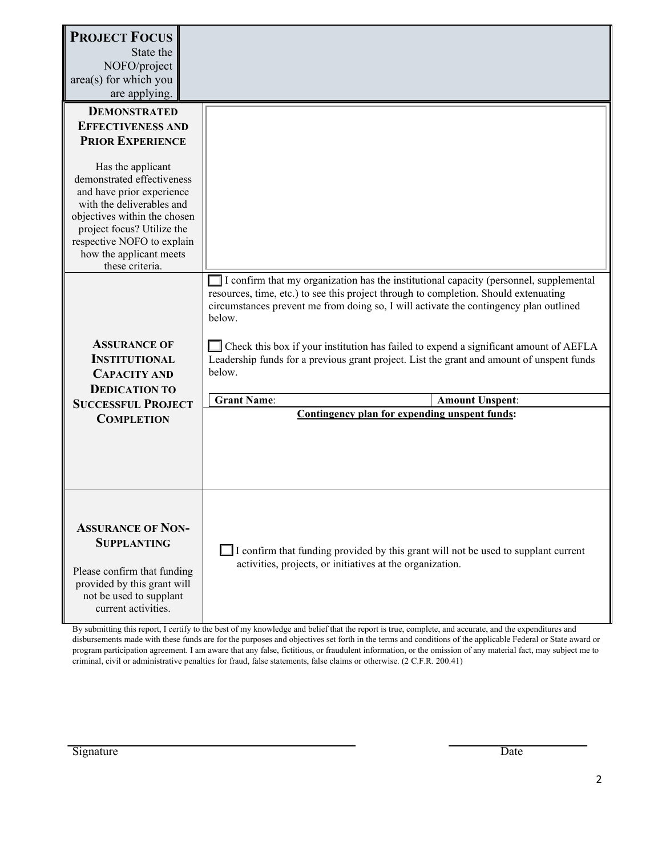| <b>PROJECT FOCUS</b><br>State the<br>NOFO/project<br>area(s) for which you<br>are applying.                                                                                                                                                                                                                                       |                                                                                                                                                                                                                                                                                                                                                                                                                                                                                                                                                                                    |  |  |
|-----------------------------------------------------------------------------------------------------------------------------------------------------------------------------------------------------------------------------------------------------------------------------------------------------------------------------------|------------------------------------------------------------------------------------------------------------------------------------------------------------------------------------------------------------------------------------------------------------------------------------------------------------------------------------------------------------------------------------------------------------------------------------------------------------------------------------------------------------------------------------------------------------------------------------|--|--|
| <b>DEMONSTRATED</b><br><b>EFFECTIVENESS AND</b><br><b>PRIOR EXPERIENCE</b><br>Has the applicant<br>demonstrated effectiveness<br>and have prior experience<br>with the deliverables and<br>objectives within the chosen<br>project focus? Utilize the<br>respective NOFO to explain<br>how the applicant meets<br>these criteria. |                                                                                                                                                                                                                                                                                                                                                                                                                                                                                                                                                                                    |  |  |
| <b>ASSURANCE OF</b><br><b>INSTITUTIONAL</b><br><b>CAPACITY AND</b><br><b>DEDICATION TO</b><br><b>SUCCESSFUL PROJECT</b>                                                                                                                                                                                                           | I confirm that my organization has the institutional capacity (personnel, supplemental<br>resources, time, etc.) to see this project through to completion. Should extenuating<br>circumstances prevent me from doing so, I will activate the contingency plan outlined<br>below.<br>Check this box if your institution has failed to expend a significant amount of AEFLA<br>Leadership funds for a previous grant project. List the grant and amount of unspent funds<br>below.<br><b>Grant Name:</b><br><b>Amount Unspent:</b><br>Contingency plan for expending unspent funds: |  |  |
| <b>COMPLETION</b>                                                                                                                                                                                                                                                                                                                 |                                                                                                                                                                                                                                                                                                                                                                                                                                                                                                                                                                                    |  |  |
| <b>ASSURANCE OF NON-</b><br><b>SUPPLANTING</b><br>Please confirm that funding<br>provided by this grant will<br>not be used to supplant<br>current activities.                                                                                                                                                                    | $\Box$ I confirm that funding provided by this grant will not be used to supplant current<br>activities, projects, or initiatives at the organization.                                                                                                                                                                                                                                                                                                                                                                                                                             |  |  |

By submitting this report, I certify to the best of my knowledge and belief that the report is true, complete, and accurate, and the expenditures and disbursements made with these funds are for the purposes and objectives set forth in the terms and conditions of the applicable Federal or State award or program participation agreement. I am aware that any false, fictitious, or fraudulent information, or the omission of any material fact, may subject me to criminal, civil or administrative penalties for fraud, false statements, false claims or otherwise. (2 C.F.R. 200.41)